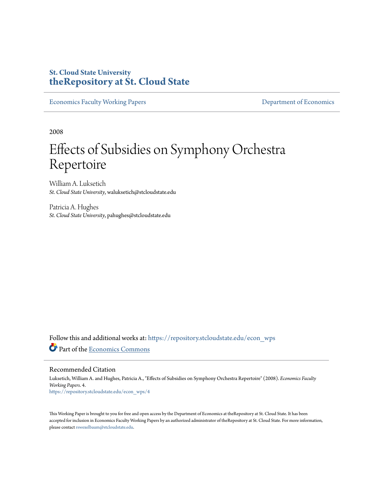# **St. Cloud State University [theRepository at St. Cloud State](https://repository.stcloudstate.edu?utm_source=repository.stcloudstate.edu%2Fecon_wps%2F4&utm_medium=PDF&utm_campaign=PDFCoverPages)**

[Economics Faculty Working Papers](https://repository.stcloudstate.edu/econ_wps?utm_source=repository.stcloudstate.edu%2Fecon_wps%2F4&utm_medium=PDF&utm_campaign=PDFCoverPages) **[Department of Economics](https://repository.stcloudstate.edu/econ?utm_source=repository.stcloudstate.edu%2Fecon_wps%2F4&utm_medium=PDF&utm_campaign=PDFCoverPages)** 

2008

# Effects of Subsidies on Symphony Orchestra Repertoire

William A. Luksetich *St. Cloud State University*, waluksetich@stcloudstate.edu

Patricia A. Hughes *St. Cloud State University*, pahughes@stcloudstate.edu

Follow this and additional works at: [https://repository.stcloudstate.edu/econ\\_wps](https://repository.stcloudstate.edu/econ_wps?utm_source=repository.stcloudstate.edu%2Fecon_wps%2F4&utm_medium=PDF&utm_campaign=PDFCoverPages) Part of the [Economics Commons](http://network.bepress.com/hgg/discipline/340?utm_source=repository.stcloudstate.edu%2Fecon_wps%2F4&utm_medium=PDF&utm_campaign=PDFCoverPages)

Recommended Citation

Luksetich, William A. and Hughes, Patricia A., "Effects of Subsidies on Symphony Orchestra Repertoire" (2008). *Economics Faculty Working Papers*. 4. [https://repository.stcloudstate.edu/econ\\_wps/4](https://repository.stcloudstate.edu/econ_wps/4?utm_source=repository.stcloudstate.edu%2Fecon_wps%2F4&utm_medium=PDF&utm_campaign=PDFCoverPages)

This Working Paper is brought to you for free and open access by the Department of Economics at theRepository at St. Cloud State. It has been accepted for inclusion in Economics Faculty Working Papers by an authorized administrator of theRepository at St. Cloud State. For more information, please contact [rswexelbaum@stcloudstate.edu.](mailto:rswexelbaum@stcloudstate.edu)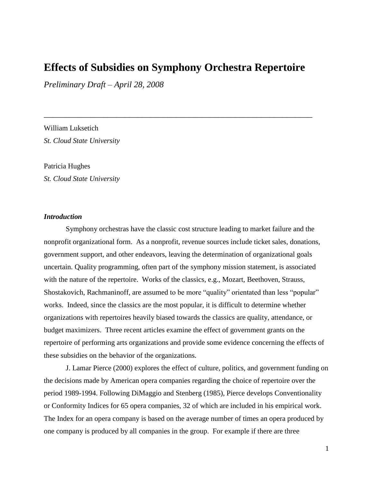# **Effects of Subsidies on Symphony Orchestra Repertoire**

\_\_\_\_\_\_\_\_\_\_\_\_\_\_\_\_\_\_\_\_\_\_\_\_\_\_\_\_\_\_\_\_\_\_\_\_\_\_\_\_\_\_\_\_\_\_\_\_\_\_\_\_\_\_\_\_\_\_\_\_\_\_\_

*Preliminary Draft – April 28, 2008*

William Luksetich *St. Cloud State University*

Patricia Hughes *St. Cloud State University*

## *Introduction*

Symphony orchestras have the classic cost structure leading to market failure and the nonprofit organizational form. As a nonprofit, revenue sources include ticket sales, donations, government support, and other endeavors, leaving the determination of organizational goals uncertain. Quality programming, often part of the symphony mission statement, is associated with the nature of the repertoire. Works of the classics, e.g., Mozart, Beethoven, Strauss, Shostakovich, Rachmaninoff, are assumed to be more "quality" orientated than less "popular" works. Indeed, since the classics are the most popular, it is difficult to determine whether organizations with repertoires heavily biased towards the classics are quality, attendance, or budget maximizers. Three recent articles examine the effect of government grants on the repertoire of performing arts organizations and provide some evidence concerning the effects of these subsidies on the behavior of the organizations.

J. Lamar Pierce (2000) explores the effect of culture, politics, and government funding on the decisions made by American opera companies regarding the choice of repertoire over the period 1989-1994. Following DiMaggio and Stenberg (1985), Pierce develops Conventionality or Conformity Indices for 65 opera companies, 32 of which are included in his empirical work. The Index for an opera company is based on the average number of times an opera produced by one company is produced by all companies in the group. For example if there are three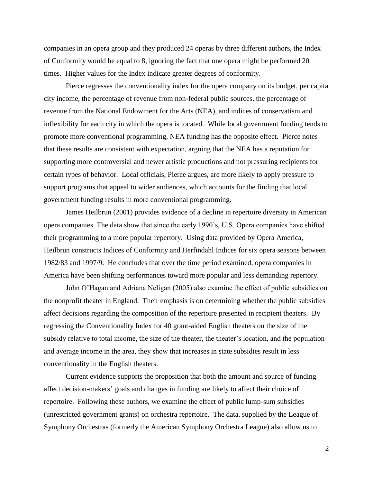companies in an opera group and they produced 24 operas by three different authors, the Index of Conformity would be equal to 8, ignoring the fact that one opera might be performed 20 times. Higher values for the Index indicate greater degrees of conformity.

Pierce regresses the conventionality index for the opera company on its budget, per capita city income, the percentage of revenue from non-federal public sources, the percentage of revenue from the National Endowment for the Arts (NEA), and indices of conservatism and inflexibility for each city in which the opera is located. While local government funding tends to promote more conventional programming, NEA funding has the opposite effect. Pierce notes that these results are consistent with expectation, arguing that the NEA has a reputation for supporting more controversial and newer artistic productions and not pressuring recipients for certain types of behavior. Local officials, Pierce argues, are more likely to apply pressure to support programs that appeal to wider audiences, which accounts for the finding that local government funding results in more conventional programming.

James Heilbrun (2001) provides evidence of a decline in repertoire diversity in American opera companies. The data show that since the early 1990's, U.S. Opera companies have shifted their programming to a more popular repertory. Using data provided by Opera America, Heilbrun constructs Indices of Conformity and Herfindahl Indices for six opera seasons between 1982/83 and 1997/9. He concludes that over the time period examined, opera companies in America have been shifting performances toward more popular and less demanding repertory.

John O'Hagan and Adriana Neligan (2005) also examine the effect of public subsidies on the nonprofit theater in England. Their emphasis is on determining whether the public subsidies affect decisions regarding the composition of the repertoire presented in recipient theaters. By regressing the Conventionality Index for 40 grant-aided English theaters on the size of the subsidy relative to total income, the size of the theater, the theater's location, and the population and average income in the area, they show that increases in state subsidies result in less conventionality in the English theaters.

Current evidence supports the proposition that both the amount and source of funding affect decision-makers' goals and changes in funding are likely to affect their choice of repertoire. Following these authors, we examine the effect of public lump-sum subsidies (unrestricted government grants) on orchestra repertoire. The data, supplied by the League of Symphony Orchestras (formerly the American Symphony Orchestra League) also allow us to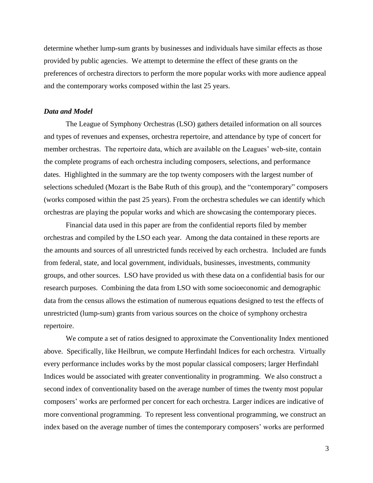determine whether lump-sum grants by businesses and individuals have similar effects as those provided by public agencies. We attempt to determine the effect of these grants on the preferences of orchestra directors to perform the more popular works with more audience appeal and the contemporary works composed within the last 25 years.

#### *Data and Model*

The League of Symphony Orchestras (LSO) gathers detailed information on all sources and types of revenues and expenses, orchestra repertoire, and attendance by type of concert for member orchestras. The repertoire data, which are available on the Leagues' web-site, contain the complete programs of each orchestra including composers, selections, and performance dates. Highlighted in the summary are the top twenty composers with the largest number of selections scheduled (Mozart is the Babe Ruth of this group), and the "contemporary" composers (works composed within the past 25 years). From the orchestra schedules we can identify which orchestras are playing the popular works and which are showcasing the contemporary pieces.

Financial data used in this paper are from the confidential reports filed by member orchestras and compiled by the LSO each year. Among the data contained in these reports are the amounts and sources of all unrestricted funds received by each orchestra. Included are funds from federal, state, and local government, individuals, businesses, investments, community groups, and other sources. LSO have provided us with these data on a confidential basis for our research purposes. Combining the data from LSO with some socioeconomic and demographic data from the census allows the estimation of numerous equations designed to test the effects of unrestricted (lump-sum) grants from various sources on the choice of symphony orchestra repertoire.

We compute a set of ratios designed to approximate the Conventionality Index mentioned above. Specifically, like Heilbrun, we compute Herfindahl Indices for each orchestra. Virtually every performance includes works by the most popular classical composers; larger Herfindahl Indices would be associated with greater conventionality in programming. We also construct a second index of conventionality based on the average number of times the twenty most popular composers' works are performed per concert for each orchestra. Larger indices are indicative of more conventional programming. To represent less conventional programming, we construct an index based on the average number of times the contemporary composers' works are performed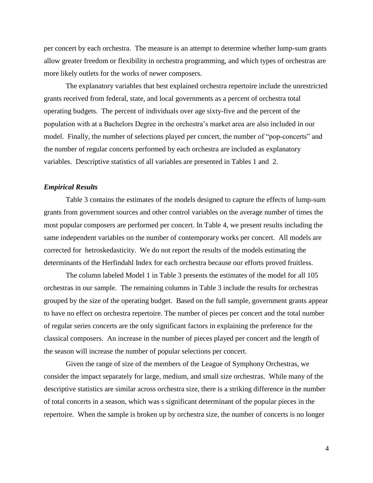per concert by each orchestra. The measure is an attempt to determine whether lump-sum grants allow greater freedom or flexibility in orchestra programming, and which types of orchestras are more likely outlets for the works of newer composers.

The explanatory variables that best explained orchestra repertoire include the unrestricted grants received from federal, state, and local governments as a percent of orchestra total operating budgets. The percent of individuals over age sixty-five and the percent of the population with at a Bachelors Degree in the orchestra's market area are also included in our model. Finally, the number of selections played per concert, the number of "pop-concerts" and the number of regular concerts performed by each orchestra are included as explanatory variables. Descriptive statistics of all variables are presented in Tables 1 and 2.

#### *Empirical Results*

Table 3 contains the estimates of the models designed to capture the effects of lump-sum grants from government sources and other control variables on the average number of times the most popular composers are performed per concert. In Table 4, we present results including the same independent variables on the number of contemporary works per concert. All models are corrected for hetroskedasticity. We do not report the results of the models estimating the determinants of the Herfindahl Index for each orchestra because our efforts proved fruitless.

The column labeled Model 1 in Table 3 presents the estimates of the model for all 105 orchestras in our sample. The remaining columns in Table 3 include the results for orchestras grouped by the size of the operating budget. Based on the full sample, government grants appear to have no effect on orchestra repertoire. The number of pieces per concert and the total number of regular series concerts are the only significant factors in explaining the preference for the classical composers. An increase in the number of pieces played per concert and the length of the season will increase the number of popular selections per concert.

Given the range of size of the members of the League of Symphony Orchestras, we consider the impact separately for large, medium, and small size orchestras. While many of the descriptive statistics are similar across orchestra size, there is a striking difference in the number of total concerts in a season, which was s significant determinant of the popular pieces in the repertoire. When the sample is broken up by orchestra size, the number of concerts is no longer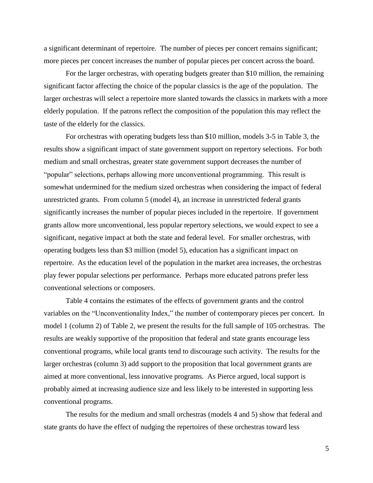a significant determinant of repertoire. The number of pieces per concert remains significant; more pieces per concert increases the number of popular pieces per concert across the board.

For the larger orchestras, with operating budgets greater than \$10 million, the remaining significant factor affecting the choice of the popular classics is the age of the population. The larger orchestras will select a repertoire more slanted towards the classics in markets with a more elderly population. If the patrons reflect the composition of the population this may reflect the taste of the elderly for the classics.

For orchestras with operating budgets less than \$10 million, models 3-5 in Table 3, the results show a significant impact of state government support on repertory selections. For both medium and small orchestras, greater state government support decreases the number of "popular" selections, perhaps allowing more unconventional programming. This result is somewhat undermined for the medium sized orchestras when considering the impact of federal unrestricted grants. From column 5 (model 4), an increase in unrestricted federal grants significantly increases the number of popular pieces included in the repertoire. If government grants allow more unconventional, less popular repertory selections, we would expect to see a significant, negative impact at both the state and federal level. For smaller orchestras, with operating budgets less than \$3 million (model 5), education has a significant impact on repertoire. As the education level of the population in the market area increases, the orchestras play fewer popular selections per performance. Perhaps more educated patrons prefer less conventional selections or composers.

Table 4 contains the estimates of the effects of government grants and the control variables on the "Unconventionality Index," the number of contemporary pieces per concert. In model 1 (column 2) of Table 2, we present the results for the full sample of 105 orchestras. The results are weakly supportive of the proposition that federal and state grants encourage less conventional programs, while local grants tend to discourage such activity. The results for the larger orchestras (column 3) add support to the proposition that local government grants are aimed at more conventional, less innovative programs. As Pierce argued, local support is probably aimed at increasing audience size and less likely to be interested in supporting less conventional programs.

The results for the medium and small orchestras (models 4 and 5) show that federal and state grants do have the effect of nudging the repertoires of these orchestras toward less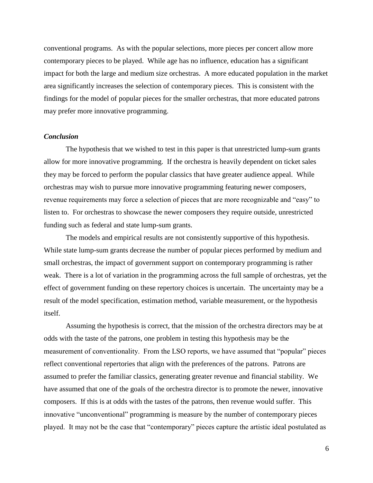conventional programs. As with the popular selections, more pieces per concert allow more contemporary pieces to be played. While age has no influence, education has a significant impact for both the large and medium size orchestras. A more educated population in the market area significantly increases the selection of contemporary pieces. This is consistent with the findings for the model of popular pieces for the smaller orchestras, that more educated patrons may prefer more innovative programming.

#### *Conclusion*

The hypothesis that we wished to test in this paper is that unrestricted lump-sum grants allow for more innovative programming. If the orchestra is heavily dependent on ticket sales they may be forced to perform the popular classics that have greater audience appeal. While orchestras may wish to pursue more innovative programming featuring newer composers, revenue requirements may force a selection of pieces that are more recognizable and "easy" to listen to. For orchestras to showcase the newer composers they require outside, unrestricted funding such as federal and state lump-sum grants.

The models and empirical results are not consistently supportive of this hypothesis. While state lump-sum grants decrease the number of popular pieces performed by medium and small orchestras, the impact of government support on contemporary programming is rather weak. There is a lot of variation in the programming across the full sample of orchestras, yet the effect of government funding on these repertory choices is uncertain. The uncertainty may be a result of the model specification, estimation method, variable measurement, or the hypothesis itself.

Assuming the hypothesis is correct, that the mission of the orchestra directors may be at odds with the taste of the patrons, one problem in testing this hypothesis may be the measurement of conventionality. From the LSO reports, we have assumed that "popular" pieces reflect conventional repertories that align with the preferences of the patrons. Patrons are assumed to prefer the familiar classics, generating greater revenue and financial stability. We have assumed that one of the goals of the orchestra director is to promote the newer, innovative composers. If this is at odds with the tastes of the patrons, then revenue would suffer. This innovative "unconventional" programming is measure by the number of contemporary pieces played. It may not be the case that "contemporary" pieces capture the artistic ideal postulated as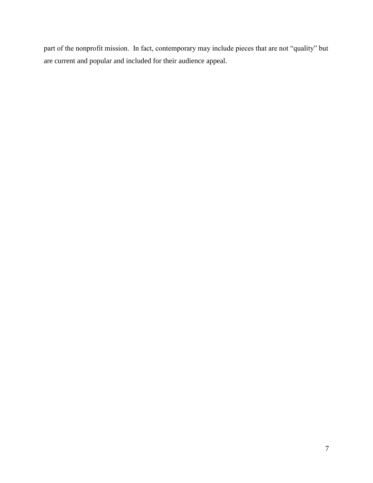part of the nonprofit mission. In fact, contemporary may include pieces that are not "quality" but are current and popular and included for their audience appeal.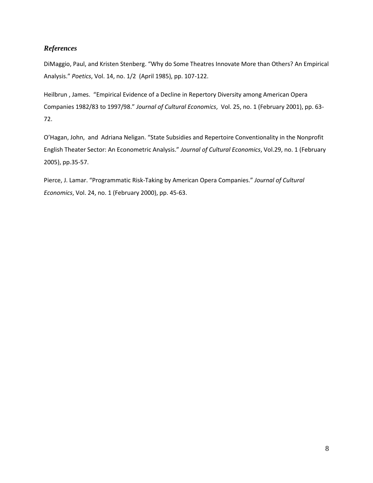# *References*

DiMaggio, Paul, and Kristen Stenberg. "Why do Some Theatres Innovate More than Others? An Empirical Analysis." *Poetics*, Vol. 14, no. 1/2 (April 1985), pp. 107-122.

Heilbrun , James. "Empirical Evidence of a Decline in Repertory Diversity among American Opera Companies 1982/83 to 1997/98." *Journal of Cultural Economics*, Vol. 25, no. 1 (February 2001), pp. 63- 72.

O'Hagan, John, and Adriana Neligan. "State Subsidies and Repertoire Conventionality in the Nonprofit English Theater Sector: An Econometric Analysis." *Journal of Cultural Economics*, Vol.29, no. 1 (February 2005), pp.35-57.

Pierce, J. Lamar. "Programmatic Risk-Taking by American Opera Companies." *Journal of Cultural Economics*, Vol. 24, no. 1 (February 2000), pp. 45-63.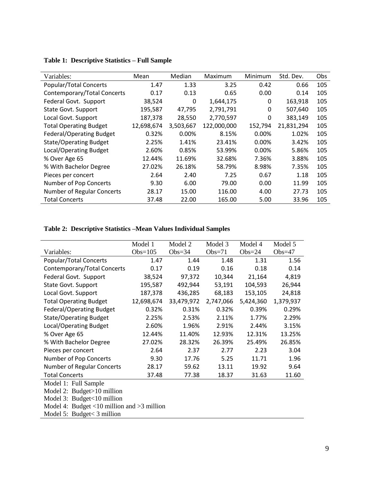| Variables:                      | Mean       | Median    | Maximum     | Minimum | Std. Dev.  | Obs |
|---------------------------------|------------|-----------|-------------|---------|------------|-----|
| Popular/Total Concerts          | 1.47       | 1.33      | 3.25        | 0.42    | 0.66       | 105 |
| Contemporary/Total Concerts     | 0.17       | 0.13      | 0.65        | 0.00    | 0.14       | 105 |
| Federal Govt. Support           | 38,524     | 0         | 1,644,175   | 0       | 163,918    | 105 |
| State Govt. Support             | 195,587    | 47,795    | 2,791,791   | 0       | 507,640    | 105 |
| Local Govt. Support             | 187,378    | 28,550    | 2,770,597   | 0       | 383,149    | 105 |
| <b>Total Operating Budget</b>   | 12,698,674 | 3,503,667 | 122,000,000 | 152,794 | 21,831,294 | 105 |
| <b>Federal/Operating Budget</b> | 0.32%      | 0.00%     | 8.15%       | 0.00%   | 1.02%      | 105 |
| <b>State/Operating Budget</b>   | 2.25%      | 1.41%     | 23.41%      | 0.00%   | 3.42%      | 105 |
| Local/Operating Budget          | 2.60%      | 0.85%     | 53.99%      | 0.00%   | 5.86%      | 105 |
| % Over Age 65                   | 12.44%     | 11.69%    | 32.68%      | 7.36%   | 3.88%      | 105 |
| % With Bachelor Degree          | 27.02%     | 26.18%    | 58.79%      | 8.98%   | 7.35%      | 105 |
| Pieces per concert              | 2.64       | 2.40      | 7.25        | 0.67    | 1.18       | 105 |
| Number of Pop Concerts          | 9.30       | 6.00      | 79.00       | 0.00    | 11.99      | 105 |
| Number of Regular Concerts      | 28.17      | 15.00     | 116.00      | 4.00    | 27.73      | 105 |
| <b>Total Concerts</b>           | 37.48      | 22.00     | 165.00      | 5.00    | 33.96      | 105 |

## **Table 1: Descriptive Statistics – Full Sample**

# **Table 2: Descriptive Statistics –Mean Values Individual Samples**

|                                 | Model 1    | Model 2    | Model 3   | Model 4   | Model 5   |
|---------------------------------|------------|------------|-----------|-----------|-----------|
| Variables:                      | Obs= $105$ | $Obs=34$   | $Obs=71$  | $Obs=24$  | Obs= $47$ |
| Popular/Total Concerts          | 1.47       | 1.44       | 1.48      | 1.31      | 1.56      |
| Contemporary/Total Concerts     | 0.17       | 0.19       | 0.16      | 0.18      | 0.14      |
| Federal Govt. Support           | 38,524     | 97,372     | 10,344    | 21,164    | 4,819     |
| State Govt. Support             | 195,587    | 492,944    | 53,191    | 104,593   | 26,944    |
| Local Govt. Support             | 187,378    | 436,285    | 68,183    | 153,105   | 24,818    |
| <b>Total Operating Budget</b>   | 12,698,674 | 33,479,972 | 2,747,066 | 5,424,360 | 1,379,937 |
| <b>Federal/Operating Budget</b> | 0.32%      | 0.31%      | 0.32%     | 0.39%     | 0.29%     |
| <b>State/Operating Budget</b>   | 2.25%      | 2.53%      | 2.11%     | 1.77%     | 2.29%     |
| Local/Operating Budget          | 2.60%      | 1.96%      | 2.91%     | 2.44%     | 3.15%     |
| % Over Age 65                   | 12.44%     | 11.40%     | 12.93%    | 12.31%    | 13.25%    |
| % With Bachelor Degree          | 27.02%     | 28.32%     | 26.39%    | 25.49%    | 26.85%    |
| Pieces per concert              | 2.64       | 2.37       | 2.77      | 2.23      | 3.04      |
| Number of Pop Concerts          | 9.30       | 17.76      | 5.25      | 11.71     | 1.96      |
| Number of Regular Concerts      | 28.17      | 59.62      | 13.11     | 19.92     | 9.64      |
| <b>Total Concerts</b>           | 37.48      | 77.38      | 18.37     | 31.63     | 11.60     |
| Model 1: Full Sample            |            |            |           |           |           |
| Model 2: Budget>10 million      |            |            |           |           |           |
| Model 3: Budget<10 million      |            |            |           |           |           |

Model 4: Budget <10 million and >3 million

Model 5: Budget< 3 million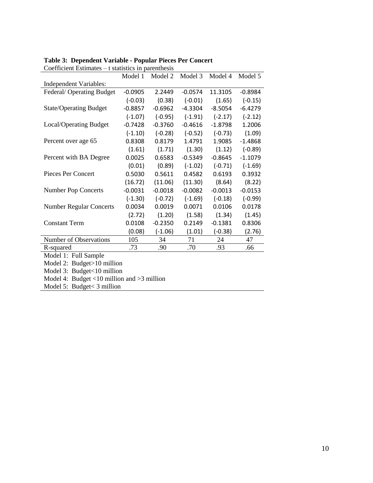| Coefficient Estimates $-$ t statistics in parenthesis |           |           |           |           |           |  |
|-------------------------------------------------------|-----------|-----------|-----------|-----------|-----------|--|
|                                                       | Model 1   | Model 2   | Model 3   | Model 4   | Model 5   |  |
| Independent Variables:                                |           |           |           |           |           |  |
| Federal/Operating Budget                              | $-0.0905$ | 2.2449    | $-0.0574$ | 11.3105   | $-0.8984$ |  |
|                                                       | $(-0.03)$ | (0.38)    | $(-0.01)$ | (1.65)    | $(-0.15)$ |  |
| <b>State/Operating Budget</b>                         | $-0.8857$ | $-0.6962$ | $-4.3304$ | $-8.5054$ | $-6.4279$ |  |
|                                                       | $(-1.07)$ | $(-0.95)$ | $(-1.91)$ | $(-2.17)$ | $(-2.12)$ |  |
| Local/Operating Budget                                | $-0.7428$ | $-0.3760$ | $-0.4616$ | $-1.8798$ | 1.2006    |  |
|                                                       | $(-1.10)$ | $(-0.28)$ | $(-0.52)$ | $(-0.73)$ | (1.09)    |  |
| Percent over age 65                                   | 0.8308    | 0.8179    | 1.4791    | 1.9085    | $-1.4868$ |  |
|                                                       | (1.61)    | (1.71)    | (1.30)    | (1.12)    | $(-0.89)$ |  |
| Percent with BA Degree                                | 0.0025    | 0.6583    | $-0.5349$ | $-0.8645$ | $-1.1079$ |  |
|                                                       | (0.01)    | (0.89)    | $(-1.02)$ | $(-0.71)$ | $(-1.69)$ |  |
| <b>Pieces Per Concert</b>                             | 0.5030    | 0.5611    | 0.4582    | 0.6193    | 0.3932    |  |
|                                                       | (16.72)   | (11.06)   | (11.30)   | (8.64)    | (8.22)    |  |
| <b>Number Pop Concerts</b>                            | $-0.0031$ | $-0.0018$ | $-0.0082$ | $-0.0013$ | $-0.0153$ |  |
|                                                       | $(-1.30)$ | $(-0.72)$ | $(-1.69)$ | $(-0.18)$ | $(-0.99)$ |  |
| <b>Number Regular Concerts</b>                        | 0.0034    | 0.0019    | 0.0071    | 0.0106    | 0.0178    |  |
|                                                       | (2.72)    | (1.20)    | (1.58)    | (1.34)    | (1.45)    |  |
| <b>Constant Term</b>                                  | 0.0108    | $-0.2350$ | 0.2149    | $-0.1381$ | 0.8306    |  |
|                                                       | (0.08)    | $(-1.06)$ | (1.01)    | $(-0.38)$ | (2.76)    |  |
| Number of Observations                                | 105       | 34        | 71        | 24        | 47        |  |
| R-squared                                             | .73       | .90       | .70       | .93       | .66       |  |
| Model 1: Full Sample                                  |           |           |           |           |           |  |
| Model 2: Budget>10 million                            |           |           |           |           |           |  |
| Model 3: Budget<10 million                            |           |           |           |           |           |  |
| Model 4: Budget <10 million and >3 million            |           |           |           |           |           |  |
| Model 5: Budget < 3 million                           |           |           |           |           |           |  |

#### **Table 3: Dependent Variable - Popular Pieces Per Concert**